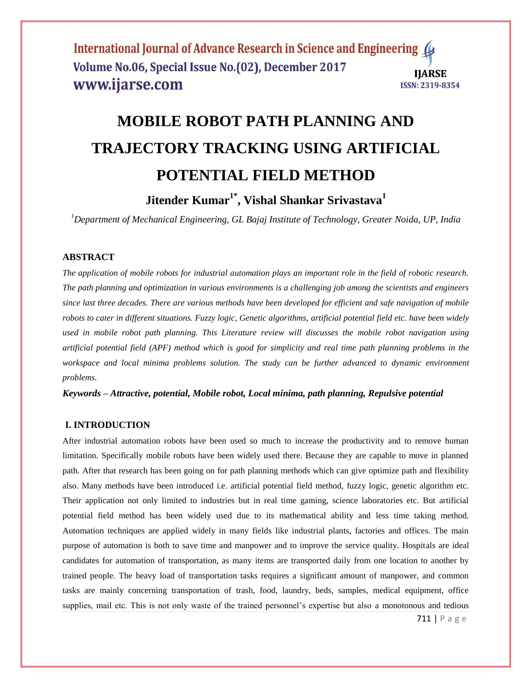# **MOBILE ROBOT PATH PLANNING AND TRAJECTORY TRACKING USING ARTIFICIAL POTENTIAL FIELD METHOD**

**Jitender Kumar1\* , Vishal Shankar Srivastava<sup>1</sup>**

*<sup>1</sup>Department of Mechanical Engineering, GL Bajaj Institute of Technology, Greater Noida, UP, India*

# **ABSTRACT**

*The application of mobile robots for industrial automation plays an important role in the field of robotic research. The path planning and optimization in various environments is a challenging job among the scientists and engineers since last three decades. There are various methods have been developed for efficient and safe navigation of mobile robots to cater in different situations. Fuzzy logic, Genetic algorithms, artificial potential field etc. have been widely used in mobile robot path planning. This Literature review will discusses the mobile robot navigation using artificial potential field (APF) method which is good for simplicity and real time path planning problems in the*  workspace and local minima problems solution. The study can be further advanced to dynamic environment *problems.*

*Keywords – Attractive, potential, Mobile robot, Local minima, path planning, Repulsive potential*

## **I. INTRODUCTION**

After industrial automation robots have been used so much to increase the productivity and to remove human limitation. Specifically mobile robots have been widely used there. Because they are capable to move in planned path. After that research has been going on for path planning methods which can give optimize path and flexibility also. Many methods have been introduced i.e. artificial potential field method, fuzzy logic, genetic algorithm etc. Their application not only limited to industries but in real time gaming, science laboratories etc. But artificial potential field method has been widely used due to its mathematical ability and less time taking method. Automation techniques are applied widely in many fields like industrial plants, factories and offices. The main purpose of automation is both to save time and manpower and to improve the service quality. Hospitals are ideal candidates for automation of transportation, as many items are transported daily from one location to another by trained people. The heavy load of transportation tasks requires a significant amount of manpower, and common tasks are mainly concerning transportation of trash, food, laundry, beds, samples, medical equipment, office supplies, mail etc. This is not only waste of the trained personnel's expertise but also a monotonous and tedious

711 | P a g e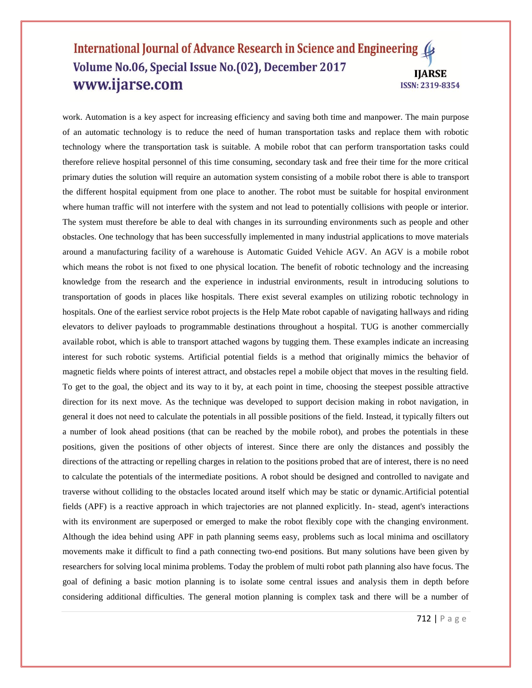work. Automation is a key aspect for increasing efficiency and saving both time and manpower. The main purpose of an automatic technology is to reduce the need of human transportation tasks and replace them with robotic technology where the transportation task is suitable. A mobile robot that can perform transportation tasks could therefore relieve hospital personnel of this time consuming, secondary task and free their time for the more critical primary duties the solution will require an automation system consisting of a mobile robot there is able to transport the different hospital equipment from one place to another. The robot must be suitable for hospital environment where human traffic will not interfere with the system and not lead to potentially collisions with people or interior. The system must therefore be able to deal with changes in its surrounding environments such as people and other obstacles. One technology that has been successfully implemented in many industrial applications to move materials around a manufacturing facility of a warehouse is Automatic Guided Vehicle AGV. An AGV is a mobile robot which means the robot is not fixed to one physical location. The benefit of robotic technology and the increasing knowledge from the research and the experience in industrial environments, result in introducing solutions to transportation of goods in places like hospitals. There exist several examples on utilizing robotic technology in hospitals. One of the earliest service robot projects is the Help Mate robot capable of navigating hallways and riding elevators to deliver payloads to programmable destinations throughout a hospital. TUG is another commercially available robot, which is able to transport attached wagons by tugging them. These examples indicate an increasing interest for such robotic systems. Artificial potential fields is a method that originally mimics the behavior of magnetic fields where points of interest attract, and obstacles repel a mobile object that moves in the resulting field. To get to the goal, the object and its way to it by, at each point in time, choosing the steepest possible attractive direction for its next move. As the technique was developed to support decision making in robot navigation, in general it does not need to calculate the potentials in all possible positions of the field. Instead, it typically filters out a number of look ahead positions (that can be reached by the mobile robot), and probes the potentials in these positions, given the positions of other objects of interest. Since there are only the distances and possibly the directions of the attracting or repelling charges in relation to the positions probed that are of interest, there is no need to calculate the potentials of the intermediate positions. A robot should be designed and controlled to navigate and traverse without colliding to the obstacles located around itself which may be static or dynamic.Artificial potential fields (APF) is a reactive approach in which trajectories are not planned explicitly. In- stead, agent's interactions with its environment are superposed or emerged to make the robot flexibly cope with the changing environment. Although the idea behind using APF in path planning seems easy, problems such as local minima and oscillatory movements make it difficult to find a path connecting two-end positions. But many solutions have been given by researchers for solving local minima problems. Today the problem of multi robot path planning also have focus. The goal of defining a basic motion planning is to isolate some central issues and analysis them in depth before considering additional difficulties. The general motion planning is complex task and there will be a number of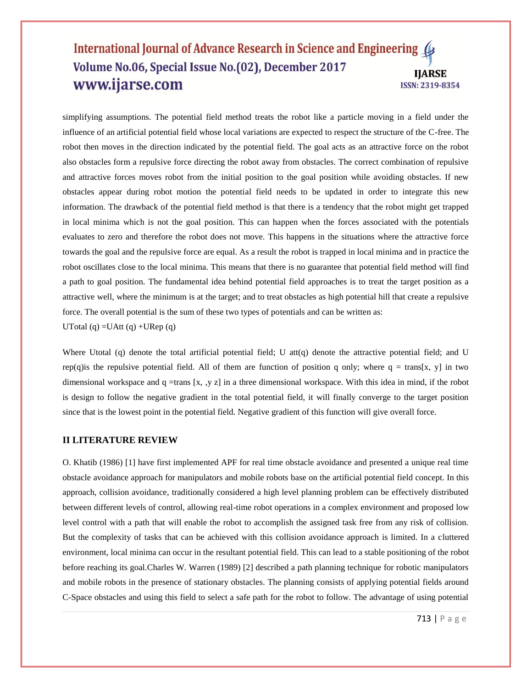simplifying assumptions. The potential field method treats the robot like a particle moving in a field under the influence of an artificial potential field whose local variations are expected to respect the structure of the C-free. The robot then moves in the direction indicated by the potential field. The goal acts as an attractive force on the robot also obstacles form a repulsive force directing the robot away from obstacles. The correct combination of repulsive and attractive forces moves robot from the initial position to the goal position while avoiding obstacles. If new obstacles appear during robot motion the potential field needs to be updated in order to integrate this new information. The drawback of the potential field method is that there is a tendency that the robot might get trapped in local minima which is not the goal position. This can happen when the forces associated with the potentials evaluates to zero and therefore the robot does not move. This happens in the situations where the attractive force towards the goal and the repulsive force are equal. As a result the robot is trapped in local minima and in practice the robot oscillates close to the local minima. This means that there is no guarantee that potential field method will find a path to goal position. The fundamental idea behind potential field approaches is to treat the target position as a attractive well, where the minimum is at the target; and to treat obstacles as high potential hill that create a repulsive force. The overall potential is the sum of these two types of potentials and can be written as: UTotal  $(q)$  =UAtt  $(q)$  +URep  $(q)$ 

Where Utotal (q) denote the total artificial potential field; U att(q) denote the attractive potential field; and U rep(q) is the repulsive potential field. All of them are function of position q only; where  $q = \text{trans}[x, y]$  in two dimensional workspace and q =trans [x, ,y z] in a three dimensional workspace. With this idea in mind, if the robot is design to follow the negative gradient in the total potential field, it will finally converge to the target position since that is the lowest point in the potential field. Negative gradient of this function will give overall force.

#### **II LITERATURE REVIEW**

O. Khatib (1986) [1] have first implemented APF for real time obstacle avoidance and presented a unique real time obstacle avoidance approach for manipulators and mobile robots base on the artificial potential field concept. In this approach, collision avoidance, traditionally considered a high level planning problem can be effectively distributed between different levels of control, allowing real-time robot operations in a complex environment and proposed low level control with a path that will enable the robot to accomplish the assigned task free from any risk of collision. But the complexity of tasks that can be achieved with this collision avoidance approach is limited. In a cluttered environment, local minima can occur in the resultant potential field. This can lead to a stable positioning of the robot before reaching its goal.Charles W. Warren (1989) [2] described a path planning technique for robotic manipulators and mobile robots in the presence of stationary obstacles. The planning consists of applying potential fields around C-Space obstacles and using this field to select a safe path for the robot to follow. The advantage of using potential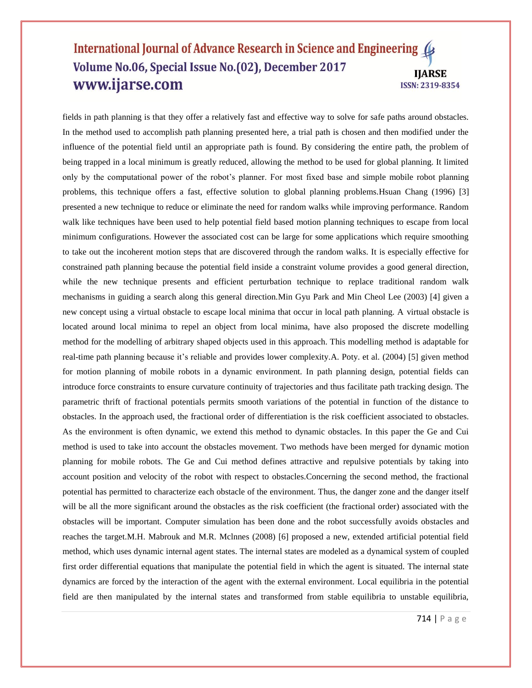fields in path planning is that they offer a relatively fast and effective way to solve for safe paths around obstacles. In the method used to accomplish path planning presented here, a trial path is chosen and then modified under the influence of the potential field until an appropriate path is found. By considering the entire path, the problem of being trapped in a local minimum is greatly reduced, allowing the method to be used for global planning. It limited only by the computational power of the robot's planner. For most fixed base and simple mobile robot planning problems, this technique offers a fast, effective solution to global planning problems.Hsuan Chang (1996) [3] presented a new technique to reduce or eliminate the need for random walks while improving performance. Random walk like techniques have been used to help potential field based motion planning techniques to escape from local minimum configurations. However the associated cost can be large for some applications which require smoothing to take out the incoherent motion steps that are discovered through the random walks. It is especially effective for constrained path planning because the potential field inside a constraint volume provides a good general direction, while the new technique presents and efficient perturbation technique to replace traditional random walk mechanisms in guiding a search along this general direction.Min Gyu Park and Min Cheol Lee (2003) [4] given a new concept using a virtual obstacle to escape local minima that occur in local path planning. A virtual obstacle is located around local minima to repel an object from local minima, have also proposed the discrete modelling method for the modelling of arbitrary shaped objects used in this approach. This modelling method is adaptable for real-time path planning because it's reliable and provides lower complexity.A. Poty. et al. (2004) [5] given method for motion planning of mobile robots in a dynamic environment. In path planning design, potential fields can introduce force constraints to ensure curvature continuity of trajectories and thus facilitate path tracking design. The parametric thrift of fractional potentials permits smooth variations of the potential in function of the distance to obstacles. In the approach used, the fractional order of differentiation is the risk coefficient associated to obstacles. As the environment is often dynamic, we extend this method to dynamic obstacles. In this paper the Ge and Cui method is used to take into account the obstacles movement. Two methods have been merged for dynamic motion planning for mobile robots. The Ge and Cui method defines attractive and repulsive potentials by taking into account position and velocity of the robot with respect to obstacles.Concerning the second method, the fractional potential has permitted to characterize each obstacle of the environment. Thus, the danger zone and the danger itself will be all the more significant around the obstacles as the risk coefficient (the fractional order) associated with the obstacles will be important. Computer simulation has been done and the robot successfully avoids obstacles and reaches the target.M.H. Mabrouk and M.R. Mclnnes (2008) [6] proposed a new, extended artificial potential field method, which uses dynamic internal agent states. The internal states are modeled as a dynamical system of coupled first order differential equations that manipulate the potential field in which the agent is situated. The internal state dynamics are forced by the interaction of the agent with the external environment. Local equilibria in the potential field are then manipulated by the internal states and transformed from stable equilibria to unstable equilibria,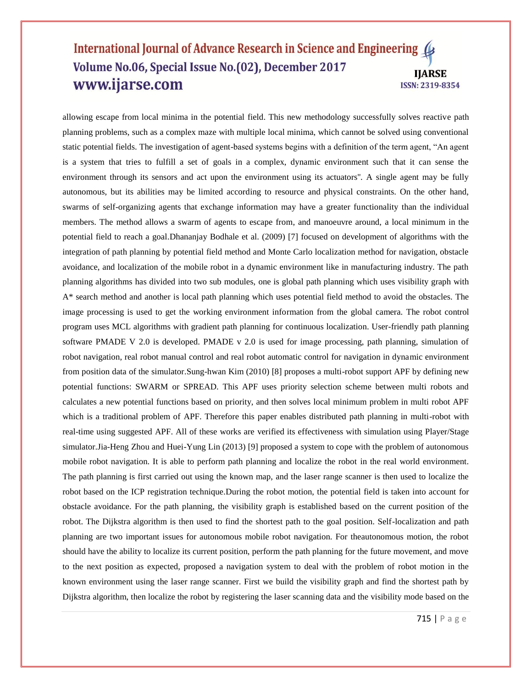allowing escape from local minima in the potential field. This new methodology successfully solves reactive path planning problems, such as a complex maze with multiple local minima, which cannot be solved using conventional static potential fields. The investigation of agent-based systems begins with a definition of the term agent, "An agent is a system that tries to fulfill a set of goals in a complex, dynamic environment such that it can sense the environment through its sensors and act upon the environment using its actuators''. A single agent may be fully autonomous, but its abilities may be limited according to resource and physical constraints. On the other hand, swarms of self-organizing agents that exchange information may have a greater functionality than the individual members. The method allows a swarm of agents to escape from, and manoeuvre around, a local minimum in the potential field to reach a goal.Dhananjay Bodhale et al. (2009) [7] focused on development of algorithms with the integration of path planning by potential field method and Monte Carlo localization method for navigation, obstacle avoidance, and localization of the mobile robot in a dynamic environment like in manufacturing industry. The path planning algorithms has divided into two sub modules, one is global path planning which uses visibility graph with A\* search method and another is local path planning which uses potential field method to avoid the obstacles. The image processing is used to get the working environment information from the global camera. The robot control program uses MCL algorithms with gradient path planning for continuous localization. User-friendly path planning software PMADE V 2.0 is developed. PMADE v 2.0 is used for image processing, path planning, simulation of robot navigation, real robot manual control and real robot automatic control for navigation in dynamic environment from position data of the simulator.Sung-hwan Kim (2010) [8] proposes a multi-robot support APF by defining new potential functions: SWARM or SPREAD. This APF uses priority selection scheme between multi robots and calculates a new potential functions based on priority, and then solves local minimum problem in multi robot APF which is a traditional problem of APF. Therefore this paper enables distributed path planning in multi-robot with real-time using suggested APF. All of these works are verified its effectiveness with simulation using Player/Stage simulator.Jia-Heng Zhou and Huei-Yung Lin (2013) [9] proposed a system to cope with the problem of autonomous mobile robot navigation. It is able to perform path planning and localize the robot in the real world environment. The path planning is first carried out using the known map, and the laser range scanner is then used to localize the robot based on the ICP registration technique.During the robot motion, the potential field is taken into account for obstacle avoidance. For the path planning, the visibility graph is established based on the current position of the robot. The Dijkstra algorithm is then used to find the shortest path to the goal position. Self-localization and path planning are two important issues for autonomous mobile robot navigation. For theautonomous motion, the robot should have the ability to localize its current position, perform the path planning for the future movement, and move to the next position as expected, proposed a navigation system to deal with the problem of robot motion in the known environment using the laser range scanner. First we build the visibility graph and find the shortest path by Dijkstra algorithm, then localize the robot by registering the laser scanning data and the visibility mode based on the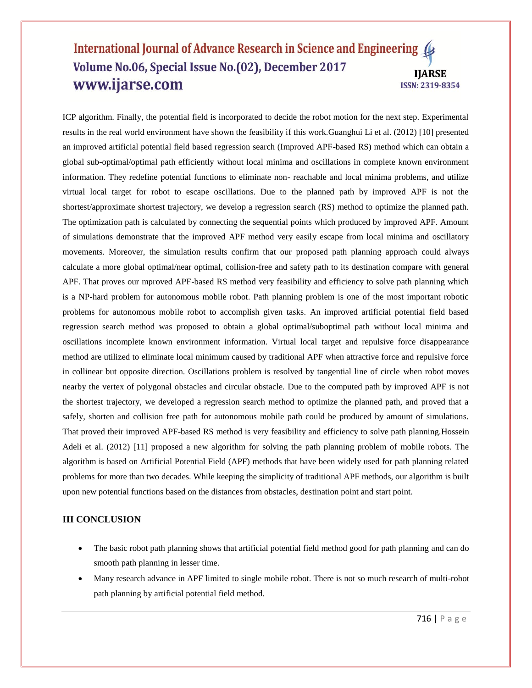ICP algorithm. Finally, the potential field is incorporated to decide the robot motion for the next step. Experimental results in the real world environment have shown the feasibility if this work.Guanghui Li et al. (2012) [10] presented an improved artificial potential field based regression search (Improved APF-based RS) method which can obtain a global sub-optimal/optimal path efficiently without local minima and oscillations in complete known environment information. They redefine potential functions to eliminate non- reachable and local minima problems, and utilize virtual local target for robot to escape oscillations. Due to the planned path by improved APF is not the shortest/approximate shortest trajectory, we develop a regression search (RS) method to optimize the planned path. The optimization path is calculated by connecting the sequential points which produced by improved APF. Amount of simulations demonstrate that the improved APF method very easily escape from local minima and oscillatory movements. Moreover, the simulation results confirm that our proposed path planning approach could always calculate a more global optimal/near optimal, collision-free and safety path to its destination compare with general APF. That proves our mproved APF-based RS method very feasibility and efficiency to solve path planning which is a NP-hard problem for autonomous mobile robot. Path planning problem is one of the most important robotic problems for autonomous mobile robot to accomplish given tasks. An improved artificial potential field based regression search method was proposed to obtain a global optimal/suboptimal path without local minima and oscillations incomplete known environment information. Virtual local target and repulsive force disappearance method are utilized to eliminate local minimum caused by traditional APF when attractive force and repulsive force in collinear but opposite direction. Oscillations problem is resolved by tangential line of circle when robot moves nearby the vertex of polygonal obstacles and circular obstacle. Due to the computed path by improved APF is not the shortest trajectory, we developed a regression search method to optimize the planned path, and proved that a safely, shorten and collision free path for autonomous mobile path could be produced by amount of simulations. That proved their improved APF-based RS method is very feasibility and efficiency to solve path planning.Hossein Adeli et al. (2012) [11] proposed a new algorithm for solving the path planning problem of mobile robots. The algorithm is based on Artificial Potential Field (APF) methods that have been widely used for path planning related problems for more than two decades. While keeping the simplicity of traditional APF methods, our algorithm is built upon new potential functions based on the distances from obstacles, destination point and start point.

#### **III CONCLUSION**

- The basic robot path planning shows that artificial potential field method good for path planning and can do smooth path planning in lesser time.
- Many research advance in APF limited to single mobile robot. There is not so much research of multi-robot path planning by artificial potential field method.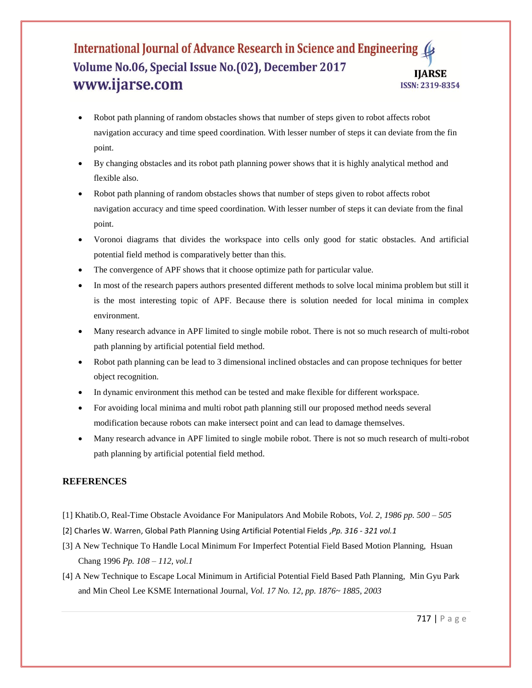- Robot path planning of random obstacles shows that number of steps given to robot affects robot navigation accuracy and time speed coordination. With lesser number of steps it can deviate from the fin point.
- By changing obstacles and its robot path planning power shows that it is highly analytical method and flexible also.
- Robot path planning of random obstacles shows that number of steps given to robot affects robot navigation accuracy and time speed coordination. With lesser number of steps it can deviate from the final point.
- Voronoi diagrams that divides the workspace into cells only good for static obstacles. And artificial potential field method is comparatively better than this.
- The convergence of APF shows that it choose optimize path for particular value.
- In most of the research papers authors presented different methods to solve local minima problem but still it is the most interesting topic of APF. Because there is solution needed for local minima in complex environment.
- Many research advance in APF limited to single mobile robot. There is not so much research of multi-robot path planning by artificial potential field method.
- Robot path planning can be lead to 3 dimensional inclined obstacles and can propose techniques for better object recognition.
- In dynamic environment this method can be tested and make flexible for different workspace.
- For avoiding local minima and multi robot path planning still our proposed method needs several modification because robots can make intersect point and can lead to damage themselves.
- Many research advance in APF limited to single mobile robot. There is not so much research of multi-robot path planning by artificial potential field method.

## **REFERENCES**

- [1] Khatib.O, Real-Time Obstacle Avoidance For Manipulators And Mobile Robots, *Vol. 2, 1986 pp. 500 – 505*
- [2] Charles W. Warren, Global Path Planning Using Artificial Potential Fields ,*Pp. 316 - 321 vol.1*
- [3] A New Technique To Handle Local Minimum For Imperfect Potential Field Based Motion Planning, Hsuan Chang 1996 *Pp. 108 – 112, vol.1*
- [4] A New Technique to Escape Local Minimum in Artificial Potential Field Based Path Planning, Min Gyu Park and Min Cheol Lee KSME International Journal, *Vol. 17 No. 12, pp. 1876~ 1885, 2003*